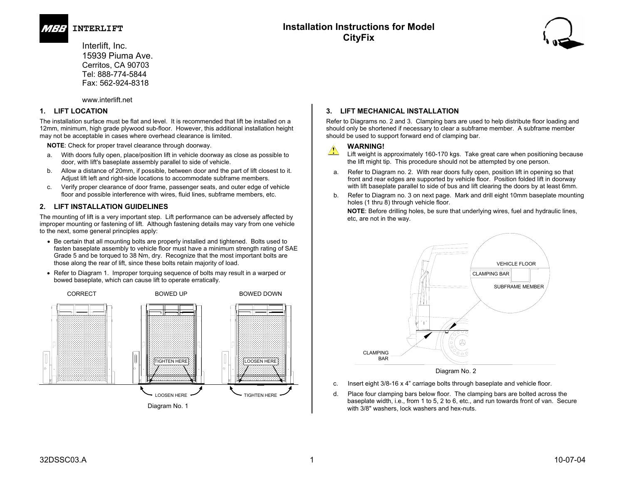

**INTERLIFT Installation Instructions for Model CityFix**



 Interlift, Inc. 15939 Piuma Ave. Cerritos, CA 90703 Tel: 888-774-5844 Fax: 562-924-8318

www.interlift.net

# **1. LIFT LOCATION**

The installation surface must be flat and level. It is recommended that lift be installed on a 12mm, minimum, high grade plywood sub-floor. However, this additional installation height may not be acceptable in cases where overhead clearance is limited.

**NOTE**: Check for proper travel clearance through doorway.

- a. With doors fully open, place/position lift in vehicle doorway as close as possible to door, with lift's baseplate assembly parallel to side of vehicle.
- b. Allow a distance of 20mm, if possible, between door and the part of lift closest to it. Adjust lift left and right-side locations to accommodate subframe members.
- c. Verify proper clearance of door frame, passenger seats, and outer edge of vehicle floor and possible interference with wires, fluid lines, subframe members, etc.

# **2. LIFT INSTALLATION GUIDELINES**

The mounting of lift is a very important step. Lift performance can be adversely affected by improper mounting or fastening of lift. Although fastening details may vary from one vehicle to the next, some general principles apply:

- Be certain that all mounting bolts are properly installed and tightened. Bolts used to fasten baseplate assembly to vehicle floor must have a minimum strength rating of SAE Grade 5 and be torqued to 38 Nm, dry. Recognize that the most important bolts are those along the rear of lift, since these bolts retain majority of load.
- Refer to Diagram 1. Improper torquing sequence of bolts may result in a warped or bowed baseplate, which can cause lift to operate erratically.



# **3. LIFT MECHANICAL INSTALLATION**

Refer to Diagrams no. 2 and 3. Clamping bars are used to help distribute floor loading and should only be shortened if necessary to clear a subframe member. A subframe member should be used to support forward end of clamping bar.

# **WARNING!**

Lift weight is approximately 160-170 kgs. Take great care when positioning because the lift might tip. This procedure should not be attempted by one person.

- a. Refer to Diagram no. 2. With rear doors fully open, position lift in opening so that front and rear edges are supported by vehicle floor. Position folded lift in doorway with lift baseplate parallel to side of bus and lift clearing the doors by at least 6mm.
- b. Refer to Diagram no. 3 on next page. Mark and drill eight 10mm baseplate mounting holes (1 thru 8) through vehicle floor.

**NOTE**: Before drilling holes, be sure that underlying wires, fuel and hydraulic lines, etc, are not in the way.



- c. Insert eight 3/8-16 x 4" carriage bolts through baseplate and vehicle floor.
- d. Place four clamping bars below floor. The clamping bars are bolted across the baseplate width, i.e., from 1 to 5, 2 to 6, etc., and run towards front of van. Secure with 3/8" washers, lock washers and hex-nuts.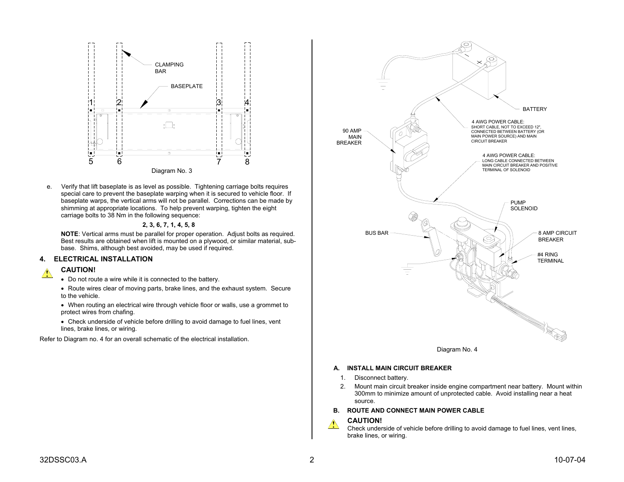

e. Verify that lift baseplate is as level as possible. Tightening carriage bolts requires special care to prevent the baseplate warping when it is secured to vehicle floor. If baseplate warps, the vertical arms will not be parallel. Corrections can be made by shimming at appropriate locations. To help prevent warping, tighten the eight carriage bolts to 38 Nm in the following sequence:

#### **2, 3, 6, 7, 1, 4, 5, 8**

**NOTE**: Vertical arms must be parallel for proper operation. Adjust bolts as required. Best results are obtained when lift is mounted on a plywood, or similar material, subbase. Shims, although best avoided, may be used if required.

#### **4. ELECTRICAL INSTALLATION**

#### **CAUTION!**

- Do not route a wire while it is connected to the battery.
- Route wires clear of moving parts, brake lines, and the exhaust system. Secure to the vehicle.
- When routing an electrical wire through vehicle floor or walls, use a grommet to protect wires from chafing.
- Check underside of vehicle before drilling to avoid damage to fuel lines, vent lines, brake lines, or wiring.

Refer to Diagram no. 4 for an overall schematic of the electrical installation.





#### **A. INSTALL MAIN CIRCUIT BREAKER**

- 1. Disconnect battery.
- 2. Mount main circuit breaker inside engine compartment near battery. Mount within 300mm to minimize amount of unprotected cable. Avoid installing near a heat source.

#### **B. ROUTE AND CONNECT MAIN POWER CABLE**

#### **CAUTION!**  $\triangle$

Check underside of vehicle before drilling to avoid damage to fuel lines, vent lines, brake lines, or wiring.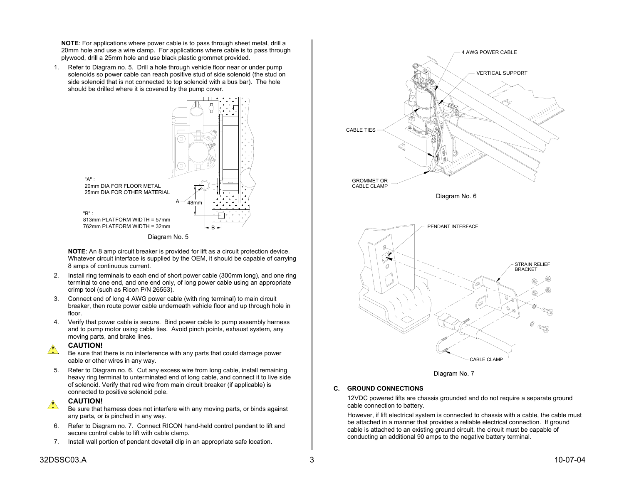**NOTE**: For applications where power cable is to pass through sheet metal, drill a 20mm hole and use a wire clamp. For applications where cable is to pass through plywood, drill a 25mm hole and use black plastic grommet provided.

1. Refer to Diagram no. 5. Drill a hole through vehicle floor near or under pump solenoids so power cable can reach positive stud of side solenoid (the stud on side solenoid that is not connected to top solenoid with a bus bar). The hole should be drilled where it is covered by the pump cover.





**NOTE**: An 8 amp circuit breaker is provided for lift as a circuit protection device. Whatever circuit interface is supplied by the OEM, it should be capable of carrying 8 amps of continuous current.

- 2. Install ring terminals to each end of short power cable (300mm long), and one ring terminal to one end, and one end only, of long power cable using an appropriate crimp tool (such as Ricon P/N 26553).
- 3. Connect end of long 4 AWG power cable (with ring terminal) to main circuit breaker, then route power cable underneath vehicle floor and up through hole in floor.
- 4. Verify that power cable is secure. Bind power cable to pump assembly harness and to pump motor using cable ties. Avoid pinch points, exhaust system, any moving parts, and brake lines.

### **CAUTION!**

Be sure that there is no interference with any parts that could damage power cable or other wires in any way.

5. Refer to Diagram no. 6. Cut any excess wire from long cable, install remaining heavy ring terminal to unterminated end of long cable, and connect it to live side of solenoid. Verify that red wire from main circuit breaker (if applicable) is connected to positive solenoid pole.

# **CAUTION!**

Be sure that harness does not interfere with any moving parts, or binds against any parts, or is pinched in any way.

- 6. Refer to Diagram no. 7. Connect RICON hand-held control pendant to lift and secure control cable to lift with cable clamp.
- 7. Install wall portion of pendant dovetail clip in an appropriate safe location.



Diagram No. 7

### **C. GROUND CONNECTIONS**

12VDC powered lifts are chassis grounded and do not require a separate ground cable connection to battery.

However, if lift electrical system is connected to chassis with a cable, the cable must be attached in a manner that provides a reliable electrical connection. If ground cable is attached to an existing ground circuit, the circuit must be capable of conducting an additional 90 amps to the negative battery terminal.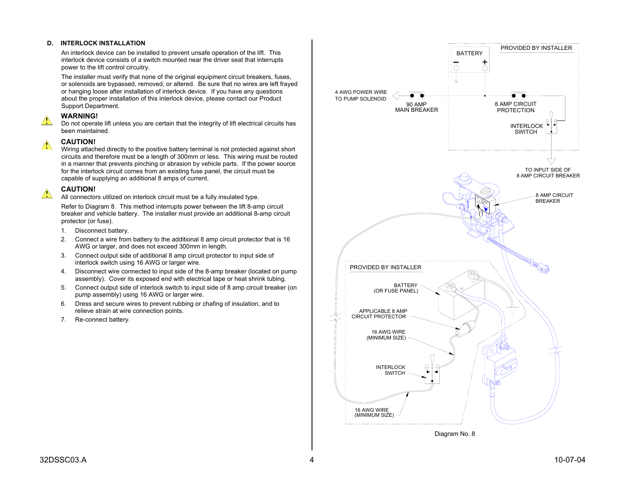### **D. INTERLOCK INSTALLATION**

An interlock device can be installed to prevent unsafe operation of the lift. This interlock device consists of a switch mounted near the driver seat that interrupts power to the lift control circuitry.

The installer must verify that none of the original equipment circuit breakers, fuses, or solenoids are bypassed, removed, or altered. Be sure that no wires are left frayed or hanging loose after installation of interlock device. If you have any questions about the proper installation of this interlock device, please contact our Product Support Department.

# **WARNING!**

Do not operate lift unless you are certain that the integrity of lift electrical circuits has been maintained.

# **CAUTION!**

Wiring attached directly to the positive battery terminal is not protected against short circuits and therefore must be a length of 300mm or less. This wiring must be routed in a manner that prevents pinching or abrasion by vehicle parts. If the power source for the interlock circuit comes from an existing fuse panel, the circuit must be capable of supplying an additional 8 amps of current.

# **CAUTION!**

All connectors utilized on interlock circuit must be a fully insulated type.

Refer to Diagram 8. This method interrupts power between the lift 8-amp circuit breaker and vehicle battery. The installer must provide an additional 8-amp circuit protector (or fuse).

- 1. Disconnect battery.
- 2. Connect a wire from battery to the additional 8 amp circuit protector that is 16 AWG or larger, and does not exceed 300mm in length.
- 3. Connect output side of additional 8 amp circuit protector to input side of interlock switch using 16 AWG or larger wire.
- 4. Disconnect wire connected to input side of the 8-amp breaker (located on pump assembly). Cover its exposed end with electrical tape or heat shrink tubing.
- 5. Connect output side of interlock switch to input side of 8 amp circuit breaker (on pump assembly) using 16 AWG or larger wire.
- 6. Dress and secure wires to prevent rubbing or chafing of insulation, and to relieve strain at wire connection points.
- 7. Re-connect battery.



Diagram No. 8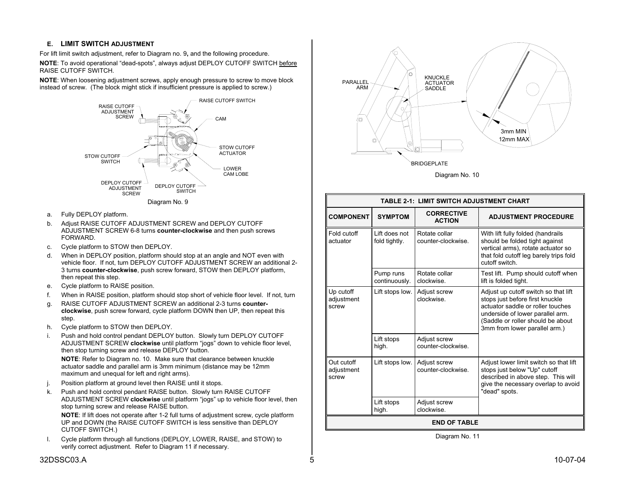# **E. LIMIT SWITCH ADJUSTMENT**

For lift limit switch adjustment, refer to Diagram no. 9**,** and the following procedure.

**NOTE**: To avoid operational "dead-spots", always adjust DEPLOY CUTOFF SWITCH before RAISE CUTOFF SWITCH.

**NOTE**: When loosening adjustment screws, apply enough pressure to screw to move block instead of screw. (The block might stick if insufficient pressure is applied to screw.)





- a. Fully DEPLOY platform.
- b. Adjust RAISE CUTOFF ADJUSTMENT SCREW and DEPLOY CUTOFF ADJUSTMENT SCREW 6-8 turns **counter-clockwise** and then push screws FORWARD.
- c. Cycle platform to STOW then DEPLOY.
- d. When in DEPLOY position, platform should stop at an angle and NOT even with vehicle floor. If not, turn DEPLOY CUTOFF ADJUSTMENT SCREW an additional 2- 3 turns **counter-clockwise**, push screw forward, STOW then DEPLOY platform, then repeat this step.
- e. Cycle platform to RAISE position.
- f. When in RAISE position, platform should stop short of vehicle floor level. If not, turn
- g. RAISE CUTOFF ADJUSTMENT SCREW an additional 2-3 turns **counterclockwise**, push screw forward, cycle platform DOWN then UP, then repeat this step.
- h. Cycle platform to STOW then DEPLOY.
- i. Push and hold control pendant DEPLOY button. Slowly turn DEPLOY CUTOFF ADJUSTMENT SCREW **clockwise** until platform "jogs" down to vehicle floor level, then stop turning screw and release DEPLOY button.

**NOTE**: Refer to Diagram no. 10. Make sure that clearance between knuckle actuator saddle and parallel arm is 3mm minimum (distance may be 12mm maximum and unequal for left and right arms).

- j. Position platform at ground level then RAISE until it stops.
- k. Push and hold control pendant RAISE button. Slowly turn RAISE CUTOFF ADJUSTMENT SCREW **clockwise** until platform "jogs" up to vehicle floor level, then stop turning screw and release RAISE button.

**NOTE**: If lift does not operate after 1-2 full turns of adjustment screw, cycle platform UP and DOWN (the RAISE CUTOFF SWITCH is less sensitive than DEPLOY CUTOFF SWITCH.)

l. Cycle platform through all functions (DEPLOY, LOWER, RAISE, and STOW) to verify correct adjustment. Refer to Diagram 11 if necessary.



Diagram No. 10

| <b>TABLE 2-1: LIMIT SWITCH ADJUSTMENT CHART</b> |                                |                                     |                                                                                                                                                                                                                        |
|-------------------------------------------------|--------------------------------|-------------------------------------|------------------------------------------------------------------------------------------------------------------------------------------------------------------------------------------------------------------------|
| <b>COMPONENT</b>                                | <b>SYMPTOM</b>                 | <b>CORRECTIVE</b><br><b>ACTION</b>  | <b>ADJUSTMENT PROCEDURE</b>                                                                                                                                                                                            |
| Fold cutoff<br>actuator                         | Lift does not<br>fold tightly. | Rotate collar<br>counter-clockwise. | With lift fully folded (handrails<br>should be folded tight against<br>vertical arms), rotate actuator so<br>that fold cutoff leg barely trips fold<br>cutoff switch.                                                  |
|                                                 | Pump runs<br>continuously.     | Rotate collar<br>clockwise.         | Test lift. Pump should cutoff when<br>lift is folded tight.                                                                                                                                                            |
| Up cutoff<br>adjustment<br>screw                | Lift stops low.                | Adjust screw<br>clockwise           | Adjust up cutoff switch so that lift<br>stops just before first knuckle<br>actuator saddle or roller touches<br>underside of lower parallel arm.<br>(Saddle or roller should be about<br>3mm from lower parallel arm.) |
|                                                 | Lift stops<br>high.            | Adjust screw<br>counter-clockwise.  |                                                                                                                                                                                                                        |
| Out cutoff<br>adjustment<br>screw               | Lift stops low.                | Adjust screw<br>counter-clockwise.  | Adjust lower limit switch so that lift<br>stops just below "Up" cutoff<br>described in above step. This will<br>give the necessary overlap to avoid<br>"dead" spots.                                                   |
|                                                 | Lift stops<br>high.            | Adjust screw<br>clockwise.          |                                                                                                                                                                                                                        |
| <b>END OF TABLE</b>                             |                                |                                     |                                                                                                                                                                                                                        |

Diagram No. 11